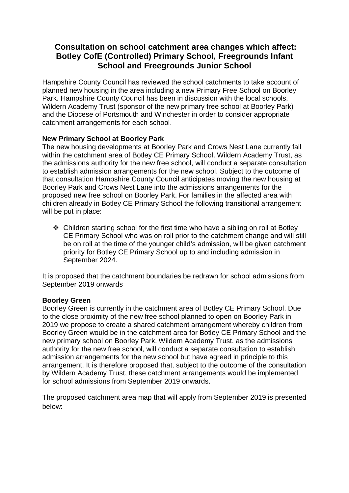## **Consultation on school catchment area changes which affect: Botley CofE (Controlled) Primary School, Freegrounds Infant School and Freegrounds Junior School**

Hampshire County Council has reviewed the school catchments to take account of planned new housing in the area including a new Primary Free School on Boorley Park. Hampshire County Council has been in discussion with the local schools, Wildern Academy Trust (sponsor of the new primary free school at Boorley Park) and the Diocese of Portsmouth and Winchester in order to consider appropriate catchment arrangements for each school.

## **New Primary School at Boorley Park**

The new housing developments at Boorley Park and Crows Nest Lane currently fall within the catchment area of Botley CE Primary School. Wildern Academy Trust, as the admissions authority for the new free school, will conduct a separate consultation to establish admission arrangements for the new school. Subject to the outcome of that consultation Hampshire County Council anticipates moving the new housing at Boorley Park and Crows Nest Lane into the admissions arrangements for the proposed new free school on Boorley Park. For families in the affected area with children already in Botley CE Primary School the following transitional arrangement will be put in place:

 $\div$  Children starting school for the first time who have a sibling on roll at Botley CE Primary School who was on roll prior to the catchment change and will still be on roll at the time of the younger child's admission, will be given catchment priority for Botley CE Primary School up to and including admission in September 2024.

It is proposed that the catchment boundaries be redrawn for school admissions from September 2019 onwards

## **Boorley Green**

Boorley Green is currently in the catchment area of Botley CE Primary School. Due to the close proximity of the new free school planned to open on Boorley Park in 2019 we propose to create a shared catchment arrangement whereby children from Boorley Green would be in the catchment area for Botley CE Primary School and the new primary school on Boorley Park. Wildern Academy Trust, as the admissions authority for the new free school, will conduct a separate consultation to establish admission arrangements for the new school but have agreed in principle to this arrangement. It is therefore proposed that, subject to the outcome of the consultation by Wildern Academy Trust, these catchment arrangements would be implemented for school admissions from September 2019 onwards.

The proposed catchment area map that will apply from September 2019 is presented below: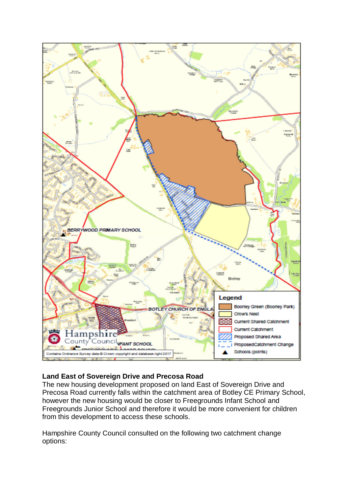

## **Land East of Sovereign Drive and Precosa Road**

The new housing development proposed on land East of Sovereign Drive and Precosa Road currently falls within the catchment area of Botley CE Primary School, however the new housing would be closer to Freegrounds Infant School and Freegrounds Junior School and therefore it would be more convenient for children from this development to access these schools.

Hampshire County Council consulted on the following two catchment change options: